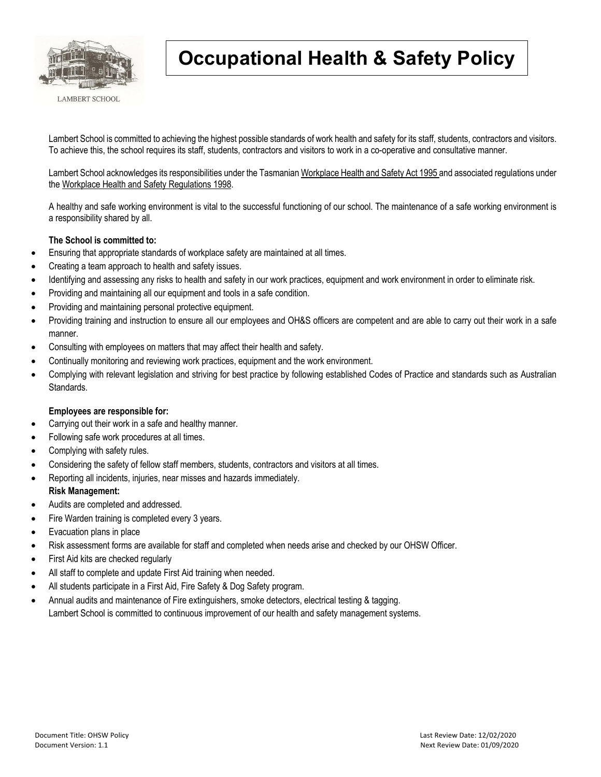

## **Occupational Health & Safety Policy**

Lambert School is committed to achieving the highest possible standards of work health and safety for its staff, students, contractors and visitors. To achieve this, the school requires its staff, students, contractors and visitors to work in a co-operative and consultative manner.

Lambert School acknowledges its responsibilities under the Tasmanian Workplace Health and Safety Act 1995 and associated regulations under the Workplace Health and Safety Regulations 1998.

A healthy and safe working environment is vital to the successful functioning of our school. The maintenance of a safe working environment is a responsibility shared by all.

## **The School is committed to:**

- Ensuring that appropriate standards of workplace safety are maintained at all times.
- Creating a team approach to health and safety issues.
- Identifying and assessing any risks to health and safety in our work practices, equipment and work environment in order to eliminate risk.
- Providing and maintaining all our equipment and tools in a safe condition.
- Providing and maintaining personal protective equipment.
- Providing training and instruction to ensure all our employees and OH&S officers are competent and are able to carry out their work in a safe manner.
- Consulting with employees on matters that may affect their health and safety.
- Continually monitoring and reviewing work practices, equipment and the work environment.
- Complying with relevant legislation and striving for best practice by following established Codes of Practice and standards such as Australian Standards.

## **Employees are responsible for:**

- Carrying out their work in a safe and healthy manner.
- Following safe work procedures at all times.
- Complying with safety rules.
- Considering the safety of fellow staff members, students, contractors and visitors at all times.
- Reporting all incidents, injuries, near misses and hazards immediately.

## **Risk Management:**

- Audits are completed and addressed.
- Fire Warden training is completed every 3 years.
- Evacuation plans in place
- Risk assessment forms are available for staff and completed when needs arise and checked by our OHSW Officer.
- First Aid kits are checked regularly
- All staff to complete and update First Aid training when needed.
- All students participate in a First Aid, Fire Safety & Dog Safety program.
- Annual audits and maintenance of Fire extinguishers, smoke detectors, electrical testing & tagging.

Lambert School is committed to continuous improvement of our health and safety management systems.